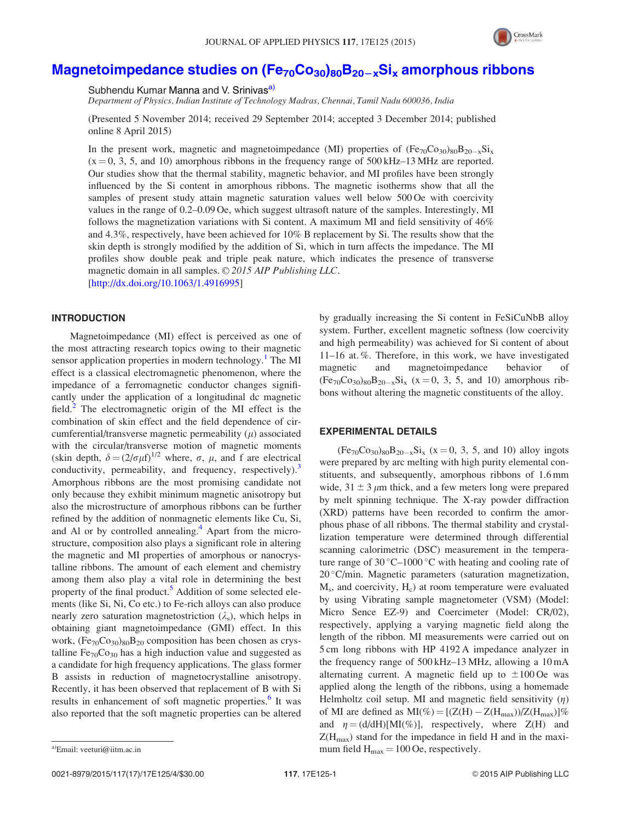

# Magnetoimpedance studies on  $(Fe_{70}Co_{30})_{80}B_{20-x}Si_x$  amorphous ribbons

Subhendu Kumar Manna and V. Srinivas<sup>a)</sup>

Department of Physics, Indian Institute of Technology Madras, Chennai, Tamil Nadu 600036, India

(Presented 5 November 2014; received 29 September 2014; accepted 3 December 2014; published online 8 April 2015)

In the present work, magnetic and magnetoimpedance (MI) properties of  $(Fe_{70}Co_{30})_{80}B_{20-x}Si_{x}$  $(x = 0, 3, 5,$  and 10) amorphous ribbons in the frequency range of 500 kHz–13 MHz are reported. Our studies show that the thermal stability, magnetic behavior, and MI profiles have been strongly influenced by the Si content in amorphous ribbons. The magnetic isotherms show that all the samples of present study attain magnetic saturation values well below 500 Oe with coercivity values in the range of 0.2–0.09 Oe, which suggest ultrasoft nature of the samples. Interestingly, MI follows the magnetization variations with Si content. A maximum MI and field sensitivity of 46% and 4.3%, respectively, have been achieved for 10% B replacement by Si. The results show that the skin depth is strongly modified by the addition of Si, which in turn affects the impedance. The MI profiles show double peak and triple peak nature, which indicates the presence of transverse magnetic domain in all samples.  $\odot$  2015 AIP Publishing LLC. [http://dx.doi.org/10.1063/1.4916995]

## INTRODUCTION

Magnetoimpedance (MI) effect is perceived as one of the most attracting research topics owing to their magnetic sensor application properties in modern technology.<sup>1</sup> The MI effect is a classical electromagnetic phenomenon, where the impedance of a ferromagnetic conductor changes significantly under the application of a longitudinal dc magnetic field. $2$  The electromagnetic origin of the MI effect is the combination of skin effect and the field dependence of circumferential/transverse magnetic permeability  $(\mu)$  associated with the circular/transverse motion of magnetic moments (skin depth,  $\delta = (2/\sigma \mu f)^{1/2}$  where,  $\sigma$ ,  $\mu$ , and f are electrical conductivity, permeability, and frequency, respectively).<sup>3</sup> Amorphous ribbons are the most promising candidate not only because they exhibit minimum magnetic anisotropy but also the microstructure of amorphous ribbons can be further refined by the addition of nonmagnetic elements like Cu, Si, and Al or by controlled annealing. $4$  Apart from the microstructure, composition also plays a significant role in altering the magnetic and MI properties of amorphous or nanocrystalline ribbons. The amount of each element and chemistry among them also play a vital role in determining the best property of the final product.<sup>5</sup> Addition of some selected elements (like Si, Ni, Co etc.) to Fe-rich alloys can also produce nearly zero saturation magnetostriction  $(\lambda_s)$ , which helps in obtaining giant magnetoimpedance (GMI) effect. In this work,  $(Fe_{70}Co_{30})_{80}B_{20}$  composition has been chosen as crystalline  $Fe_{70}Co_{30}$  has a high induction value and suggested as a candidate for high frequency applications. The glass former B assists in reduction of magnetocrystalline anisotropy. Recently, it has been observed that replacement of B with Si results in enhancement of soft magnetic properties.<sup>6</sup> It was also reported that the soft magnetic properties can be altered

# EXPERIMENTAL DETAILS

 $(Fe_{70}Co_{30})_{80}B_{20-x}Si_x$  (x = 0, 3, 5, and 10) alloy ingots were prepared by arc melting with high purity elemental constituents, and subsequently, amorphous ribbons of 1.6 mm wide,  $31 \pm 3 \mu$ m thick, and a few meters long were prepared by melt spinning technique. The X-ray powder diffraction (XRD) patterns have been recorded to confirm the amorphous phase of all ribbons. The thermal stability and crystallization temperature were determined through differential scanning calorimetric (DSC) measurement in the temperature range of  $30^{\circ}$ C–1000 °C with heating and cooling rate of 20 C/min. Magnetic parameters (saturation magnetization, M<sub>s</sub>, and coercivity, H<sub>c</sub>) at room temperature were evaluated by using Vibrating sample magnetometer (VSM) (Model: Micro Sence EZ-9) and Coercimeter (Model: CR/02), respectively, applying a varying magnetic field along the length of the ribbon. MI measurements were carried out on 5 cm long ribbons with HP 4192 A impedance analyzer in the frequency range of 500 kHz–13 MHz, allowing a 10 mA alternating current. A magnetic field up to  $\pm 100$  Oe was applied along the length of the ribbons, using a homemade Helmholtz coil setup. MI and magnetic field sensitivity  $(\eta)$ of MI are defined as  $MI(\%) = [(Z(H) - Z(H_{max}))/Z(H_{max})]\%$ and  $\eta = (d/dH)[MI(\%)]$ , respectively, where Z(H) and  $Z(H_{\text{max}})$  stand for the impedance in field H and in the maxi-<sup>a)</sup>Email: veeturi@iitm.ac.in  $\mu$  100 Oe, respectively.

by gradually increasing the Si content in FeSiCuNbB alloy system. Further, excellent magnetic softness (low coercivity and high permeability) was achieved for Si content of about 11–16 at. %. Therefore, in this work, we have investigated magnetic and magnetoimpedance behavior of  $(Fe_{70}Co_{30})_{80}B_{20-x}Si_x$  (x = 0, 3, 5, and 10) amorphous ribbons without altering the magnetic constituents of the alloy.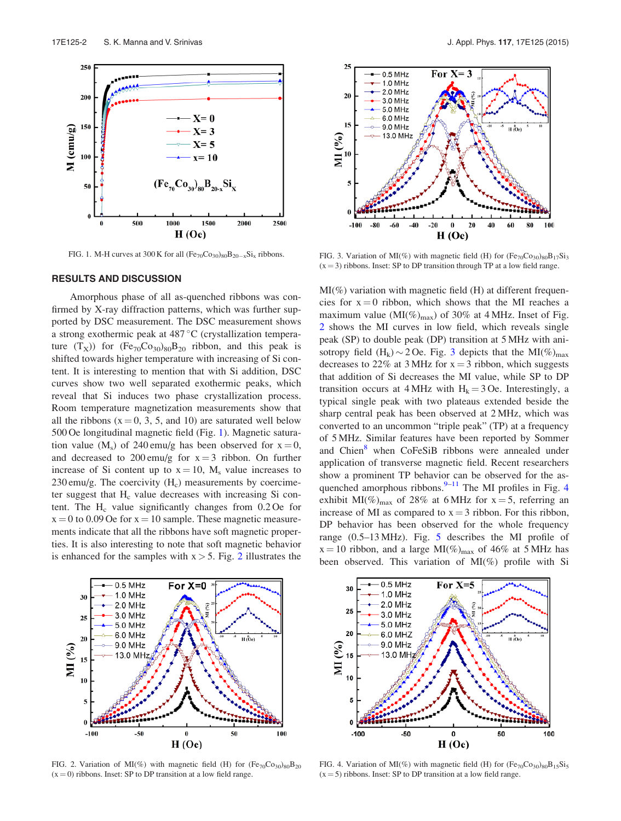

FIG. 1. M-H curves at 300 K for all  $(Fe_{70}Co_{30})_{80}B_{20-x}Si_x$  ribbons.

#### RESULTS AND DISCUSSION

Amorphous phase of all as-quenched ribbons was confirmed by X-ray diffraction patterns, which was further supported by DSC measurement. The DSC measurement shows a strong exothermic peak at  $487\,^{\circ}\text{C}$  (crystallization temperature  $(T_X)$ ) for  $(Fe_{70}Co_{30})_{80}B_{20}$  ribbon, and this peak is shifted towards higher temperature with increasing of Si content. It is interesting to mention that with Si addition, DSC curves show two well separated exothermic peaks, which reveal that Si induces two phase crystallization process. Room temperature magnetization measurements show that all the ribbons ( $x = 0, 3, 5$ , and 10) are saturated well below 500 Oe longitudinal magnetic field (Fig. 1). Magnetic saturation value ( $M_s$ ) of 240 emu/g has been observed for  $x = 0$ , and decreased to 200 emu/g for  $x = 3$  ribbon. On further increase of Si content up to  $x = 10$ , M<sub>s</sub> value increases to  $230 \text{ emu/g}$ . The coercivity  $(H_c)$  measurements by coercimeter suggest that  $H_c$  value decreases with increasing Si content. The  $H_c$  value significantly changes from  $0.2$  Oe for  $x = 0$  to 0.09 Oe for  $x = 10$  sample. These magnetic measurements indicate that all the ribbons have soft magnetic properties. It is also interesting to note that soft magnetic behavior is enhanced for the samples with  $x > 5$ . Fig. 2 illustrates the



FIG. 2. Variation of MI(%) with magnetic field (H) for  $(Fe_{70}Co_{30})_{80}B_{20}$  $(x = 0)$  ribbons. Inset: SP to DP transition at a low field range.



FIG. 3. Variation of MI(%) with magnetic field (H) for  $(Fe_{70}Co_{30})_{80}B_{17}Si_3$  $(x = 3)$  ribbons. Inset: SP to DP transition through TP at a low field range.

 $MI(\%)$  variation with magnetic field (H) at different frequencies for  $x = 0$  ribbon, which shows that the MI reaches a maximum value ( $MI(\%)_{max}$ ) of 30% at 4 MHz. Inset of Fig. 2 shows the MI curves in low field, which reveals single peak (SP) to double peak (DP) transition at 5 MHz with anisotropy field  $(H_k) \sim 2$  Oe. Fig. 3 depicts that the MI(%)<sub>max</sub> decreases to 22% at 3 MHz for  $x = 3$  ribbon, which suggests that addition of Si decreases the MI value, while SP to DP transition occurs at  $4$  MHz with  $H_k = 3$  Oe. Interestingly, a typical single peak with two plateaus extended beside the sharp central peak has been observed at 2 MHz, which was converted to an uncommon "triple peak" (TP) at a frequency of 5 MHz. Similar features have been reported by Sommer and Chien<sup>8</sup> when CoFeSiB ribbons were annealed under application of transverse magnetic field. Recent researchers show a prominent TP behavior can be observed for the asquenched amorphous ribbons. $9-11$  The MI profiles in Fig. 4 exhibit MI(%)<sub>max</sub> of 28% at 6 MHz for  $x = 5$ , referring an increase of MI as compared to  $x = 3$  ribbon. For this ribbon, DP behavior has been observed for the whole frequency range (0.5–13 MHz). Fig. 5 describes the MI profile of  $x = 10$  ribbon, and a large MI(%)<sub>max</sub> of 46% at 5 MHz has been observed. This variation of MI(%) profile with Si



FIG. 4. Variation of MI(%) with magnetic field (H) for  $(Fe_{70}Co_{30})_{80}B_{15}Si_5$  $(x = 5)$  ribbons. Inset: SP to DP transition at a low field range.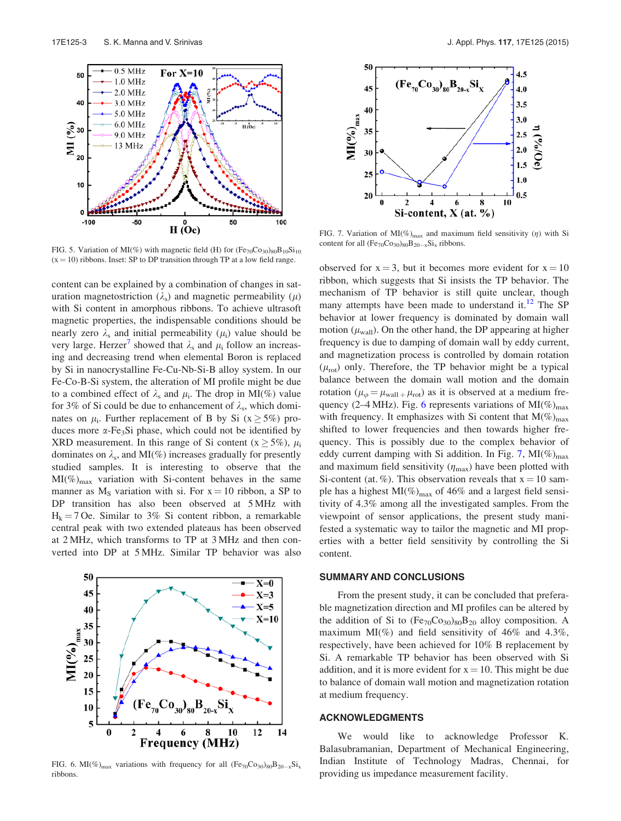

FIG. 5. Variation of MI(%) with magnetic field (H) for  $(Fe_{70}Co_{30})_{80}B_{10}Si_{10}$  $(x = 10)$  ribbons. Inset: SP to DP transition through TP at a low field range.

content can be explained by a combination of changes in saturation magnetostriction  $(\lambda_s)$  and magnetic permeability  $(\mu)$ with Si content in amorphous ribbons. To achieve ultrasoft magnetic properties, the indispensable conditions should be nearly zero  $\lambda_s$  and initial permeability  $(\mu_i)$  value should be very large. Herzer<sup>7</sup> showed that  $\lambda_s$  and  $\mu_i$  follow an increasing and decreasing trend when elemental Boron is replaced by Si in nanocrystalline Fe-Cu-Nb-Si-B alloy system. In our Fe-Co-B-Si system, the alteration of MI profile might be due to a combined effect of  $\lambda_s$  and  $\mu_i$ . The drop in MI(%) value for 3% of Si could be due to enhancement of  $\lambda_s$ , which dominates on  $\mu_i$ . Further replacement of B by Si ( $x \ge 5\%$ ) produces more  $\alpha$ -Fe<sub>3</sub>Si phase, which could not be identified by XRD measurement. In this range of Si content ( $x \ge 5\%$ ),  $\mu_i$ dominates on  $\lambda_s$ , and MI(%) increases gradually for presently studied samples. It is interesting to observe that the  $MI(\%)_{max}$  variation with Si-content behaves in the same manner as  $M<sub>S</sub>$  variation with si. For  $x = 10$  ribbon, a SP to DP transition has also been observed at 5 MHz with  $H_k = 7$  Oe. Similar to 3% Si content ribbon, a remarkable central peak with two extended plateaus has been observed at 2 MHz, which transforms to TP at 3 MHz and then converted into DP at 5 MHz. Similar TP behavior was also



FIG. 6. MI(%)<sub>max</sub> variations with frequency for all  $(Fe_{70}Co_{30})_{80}B_{20-x}Si_{x}$ ribbons.



FIG. 7. Variation of MI(%)<sub>max</sub> and maximum field sensitivity ( $\eta$ ) with Si content for all  $(Fe_{70}Co_{30})_{80}B_{20-x}Si_x$  ribbons.

observed for  $x = 3$ , but it becomes more evident for  $x = 10$ ribbon, which suggests that Si insists the TP behavior. The mechanism of TP behavior is still quite unclear, though many attempts have been made to understand it. $^{12}$  The SP behavior at lower frequency is dominated by domain wall motion ( $\mu_{\text{wall}}$ ). On the other hand, the DP appearing at higher frequency is due to damping of domain wall by eddy current, and magnetization process is controlled by domain rotation  $(\mu_{\rm rot})$  only. Therefore, the TP behavior might be a typical balance between the domain wall motion and the domain rotation ( $\mu_{\varphi} = \mu_{\text{wall} +} \mu_{\text{rot}}$ ) as it is observed at a medium frequency (2–4 MHz). Fig. 6 represents variations of  $MI(\%)_{max}$ with frequency. It emphasizes with Si content that  $M(\%)_{max}$ shifted to lower frequencies and then towards higher frequency. This is possibly due to the complex behavior of eddy current damping with Si addition. In Fig. 7,  $MI(\%)_{max}$ and maximum field sensitivity  $(\eta_{\text{max}})$  have been plotted with Si-content (at. %). This observation reveals that  $x = 10$  sample has a highest  $MI(\%)_{max}$  of 46% and a largest field sensitivity of 4.3% among all the investigated samples. From the viewpoint of sensor applications, the present study manifested a systematic way to tailor the magnetic and MI properties with a better field sensitivity by controlling the Si content.

### SUMMARY AND CONCLUSIONS

From the present study, it can be concluded that preferable magnetization direction and MI profiles can be altered by the addition of Si to  $(Fe_{70}Co_{30})_{80}B_{20}$  alloy composition. A maximum MI(%) and field sensitivity of  $46\%$  and  $4.3\%$ , respectively, have been achieved for 10% B replacement by Si. A remarkable TP behavior has been observed with Si addition, and it is more evident for  $x = 10$ . This might be due to balance of domain wall motion and magnetization rotation at medium frequency.

## ACKNOWLEDGMENTS

We would like to acknowledge Professor K. Balasubramanian, Department of Mechanical Engineering, Indian Institute of Technology Madras, Chennai, for providing us impedance measurement facility.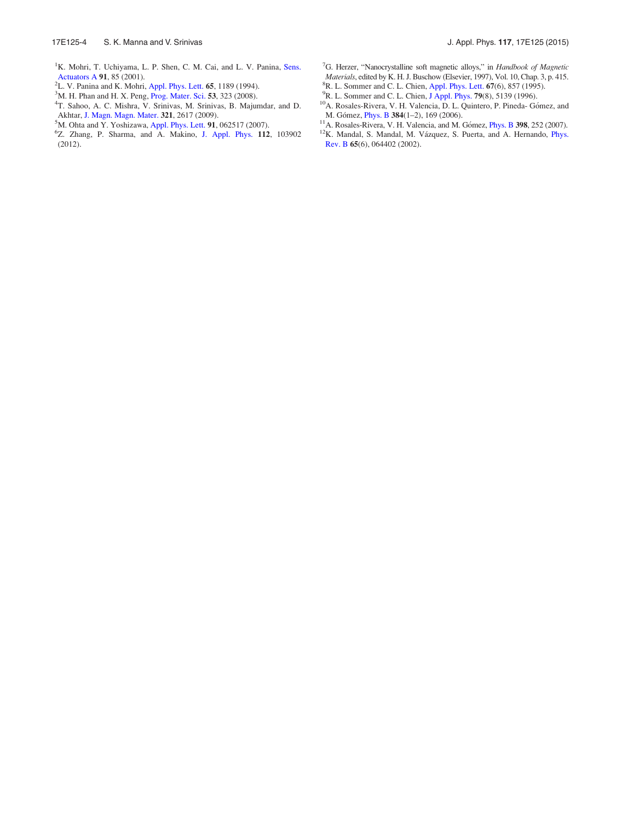- <sup>1</sup>K. Mohri, T. Uchiyama, L. P. Shen, C. M. Cai, and L. V. Panina, Sens. Actuators A 91, 85 (2001).
- ${}^{2}$ L. V. Panina and K. Mohri, Appl. Phys. Lett. 65, 1189 (1994).
- <sup>3</sup>M. H. Phan and H. X. Peng, Prog. Mater. Sci. 53, 323 (2008).
- 4 T. Sahoo, A. C. Mishra, V. Srinivas, M. Srinivas, B. Majumdar, and D. Akhtar, J. Magn. Magn. Mater. 321, 2617 (2009).
- <sup>5</sup>M. Ohta and Y. Yoshizawa, Appl. Phys. Lett. 91, 062517 (2007).
- 6 Z. Zhang, P. Sharma, and A. Makino, J. Appl. Phys. 112, 103902 (2012).
- <sup>7</sup>G. Herzer, "Nanocrystalline soft magnetic alloys," in Handbook of Magnetic Materials, edited by K. H. J. Buschow (Elsevier, 1997), Vol. 10, Chap. 3, p. 415. <sup>8</sup>R. L. Sommer and C. L. Chien, Appl. Phys. Lett. 67(6), 857 (1995).
- <sup>9</sup>R. L. Sommer and C. L. Chien, J Appl. Phys. **79**(8), 5139 (1996).
- <sup>10</sup>A. Rosales-Rivera, V. H. Valencia, D. L. Quintero, P. Pineda- Gómez, and M. Gómez, *Phys. B* 384(1-2), 169 (2006).
- $11$ A. Rosales-Rivera, V. H. Valencia, and M. Gómez, *Phys. B* 398, 252 (2007).
- <sup>12</sup>K. Mandal, S. Mandal, M. Vázquez, S. Puerta, and A. Hernando, *Phys.* Rev. B 65(6), 064402 (2002).